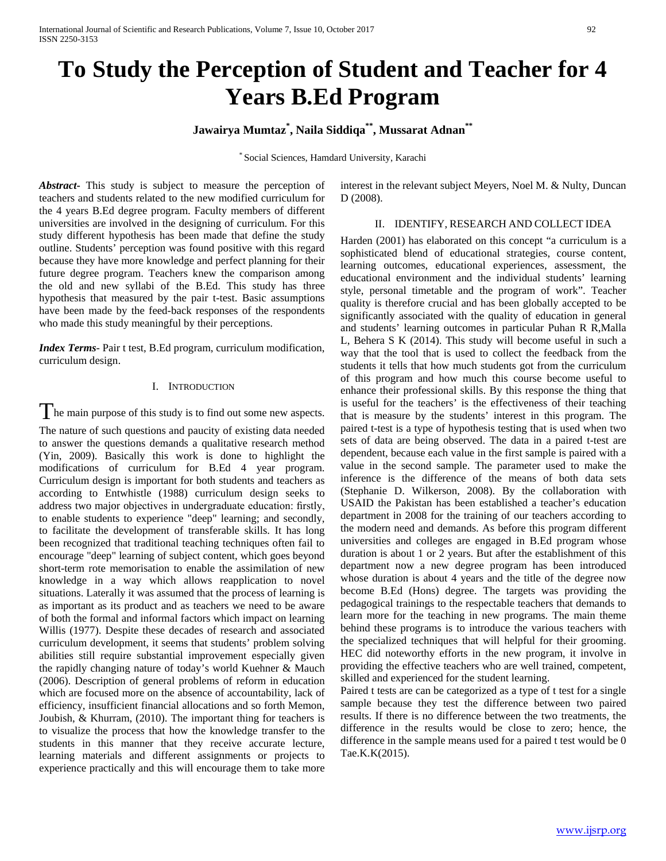# **To Study the Perception of Student and Teacher for 4 Years B.Ed Program**

**Jawairya Mumtaz\* , Naila Siddiqa\*\*, Mussarat Adnan\*\***

\* Social Sciences, Hamdard University, Karachi

*Abstract***-** This study is subject to measure the perception of teachers and students related to the new modified curriculum for the 4 years B.Ed degree program. Faculty members of different universities are involved in the designing of curriculum. For this study different hypothesis has been made that define the study outline. Students' perception was found positive with this regard because they have more knowledge and perfect planning for their future degree program. Teachers knew the comparison among the old and new syllabi of the B.Ed. This study has three hypothesis that measured by the pair t-test. Basic assumptions have been made by the feed-back responses of the respondents who made this study meaningful by their perceptions.

*Index Terms*- Pair t test, B.Ed program, curriculum modification, curriculum design.

# I. INTRODUCTION

 $\int$  he main purpose of this study is to find out some new aspects.

The nature of such questions and paucity of existing data needed to answer the questions demands a qualitative research method (Yin, 2009). Basically this work is done to highlight the modifications of curriculum for B.Ed 4 year program. Curriculum design is important for both students and teachers as according to Entwhistle (1988) curriculum design seeks to address two major objectives in undergraduate education: firstly, to enable students to experience "deep" learning; and secondly, to facilitate the development of transferable skills. It has long been recognized that traditional teaching techniques often fail to encourage "deep" learning of subject content, which goes beyond short-term rote memorisation to enable the assimilation of new knowledge in a way which allows reapplication to novel situations. Laterally it was assumed that the process of learning is as important as its product and as teachers we need to be aware of both the formal and informal factors which impact on learning Willis (1977). Despite these decades of research and associated curriculum development, it seems that students' problem solving abilities still require substantial improvement especially given the rapidly changing nature of today's world Kuehner & Mauch (2006). Description of general problems of reform in education which are focused more on the absence of accountability, lack of efficiency, insufficient financial allocations and so forth Memon, Joubish, & Khurram, (2010). The important thing for teachers is to visualize the process that how the knowledge transfer to the students in this manner that they receive accurate lecture, learning materials and different assignments or projects to experience practically and this will encourage them to take more

interest in the relevant subject Meyers, Noel M. & Nulty, Duncan D (2008).

### II. IDENTIFY, RESEARCH AND COLLECT IDEA

Harden (2001) has elaborated on this concept "a curriculum is a sophisticated blend of educational strategies, course content, learning outcomes, educational experiences, assessment, the educational environment and the individual students' learning style, personal timetable and the program of work". Teacher quality is therefore crucial and has been globally accepted to be significantly associated with the quality of education in general and students' learning outcomes in particular Puhan R R,Malla L, Behera S K (2014). This study will become useful in such a way that the tool that is used to collect the feedback from the students it tells that how much students got from the curriculum of this program and how much this course become useful to enhance their professional skills. By this response the thing that is useful for the teachers' is the effectiveness of their teaching that is measure by the students' interest in this program. The paired t-test is a type of hypothesis testing that is used when two sets of data are being observed. The data in a paired t-test are dependent, because each value in the first sample is paired with a value in the second sample. The parameter used to make the inference is the difference of the means of both data sets (Stephanie D. Wilkerson, 2008). By the collaboration with USAID the Pakistan has been established a teacher's education department in 2008 for the training of our teachers according to the modern need and demands. As before this program different universities and colleges are engaged in B.Ed program whose duration is about 1 or 2 years. But after the establishment of this department now a new degree program has been introduced whose duration is about 4 years and the title of the degree now become B.Ed (Hons) degree. The targets was providing the pedagogical trainings to the respectable teachers that demands to learn more for the teaching in new programs. The main theme behind these programs is to introduce the various teachers with the specialized techniques that will helpful for their grooming. HEC did noteworthy efforts in the new program, it involve in providing the effective teachers who are well trained, competent, skilled and experienced for the student learning.

Paired t tests are can be categorized as a type of t test for a single sample because they test the difference between two paired results. If there is no difference between the two treatments, the difference in the results would be close to zero; hence, the difference in the sample means used for a paired t test would be 0 Tae.K.K(2015).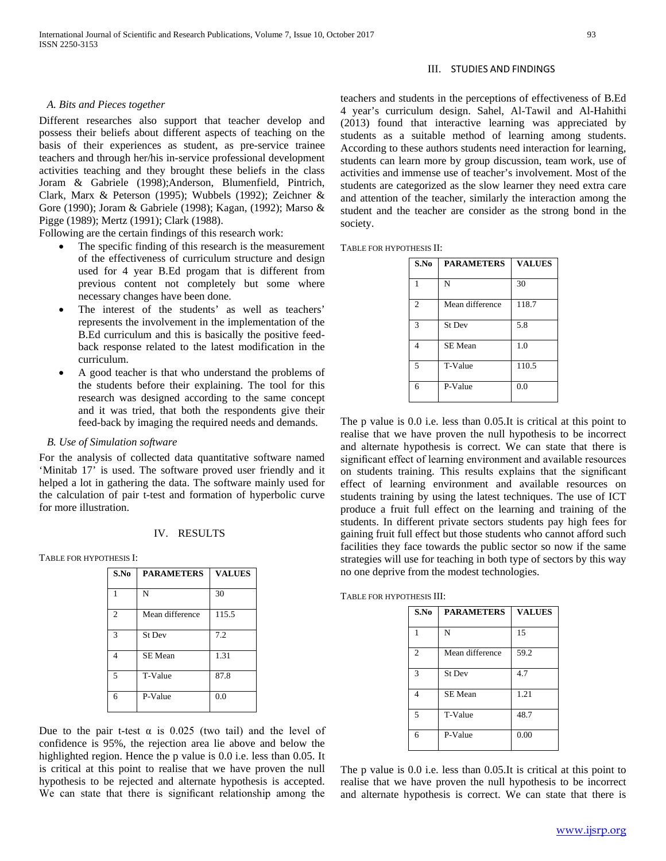#### *A. Bits and Pieces together*

Different researches also support that teacher develop and possess their beliefs about different aspects of teaching on the basis of their experiences as student, as pre-service trainee teachers and through her/his in-service professional development activities teaching and they brought these beliefs in the class Joram & Gabriele (1998);Anderson, Blumenfield, Pintrich, Clark, Marx & Peterson (1995); Wubbels (1992); Zeichner & Gore (1990); Joram & Gabriele (1998); Kagan, (1992); Marso & Pigge (1989); Mertz (1991); Clark (1988).

Following are the certain findings of this research work:

- The specific finding of this research is the measurement of the effectiveness of curriculum structure and design used for 4 year B.Ed progam that is different from previous content not completely but some where necessary changes have been done.
- The interest of the students' as well as teachers' represents the involvement in the implementation of the B.Ed curriculum and this is basically the positive feedback response related to the latest modification in the curriculum.
- A good teacher is that who understand the problems of the students before their explaining. The tool for this research was designed according to the same concept and it was tried, that both the respondents give their feed-back by imaging the required needs and demands.

### *B. Use of Simulation software*

For the analysis of collected data quantitative software named 'Minitab 17' is used. The software proved user friendly and it helped a lot in gathering the data. The software mainly used for the calculation of pair t-test and formation of hyperbolic curve for more illustration.

# IV. RESULTS

TABLE FOR HYPOTHESIS I:

| S.No           | <b>PARAMETERS</b> | <b>VALUES</b> |
|----------------|-------------------|---------------|
|                | N                 | 30            |
| $\overline{c}$ | Mean difference   | 115.5         |
| 3              | St Dev            | 7.2           |
| $\overline{4}$ | SE Mean           | 1.31          |
| $\overline{5}$ | T-Value           | 87.8          |
| 6              | P-Value           | 0.0           |

Due to the pair t-test  $\alpha$  is 0.025 (two tail) and the level of confidence is 95%, the rejection area lie above and below the highlighted region. Hence the p value is 0.0 i.e. less than 0.05. It is critical at this point to realise that we have proven the null hypothesis to be rejected and alternate hypothesis is accepted. We can state that there is significant relationship among the

# III. STUDIES AND FINDINGS

teachers and students in the perceptions of effectiveness of B.Ed 4 year's curriculum design. Sahel, Al-Tawil and Al-Hahithi (2013) found that interactive learning was appreciated by students as a suitable method of learning among students. According to these authors students need interaction for learning, students can learn more by group discussion, team work, use of activities and immense use of teacher's involvement. Most of the students are categorized as the slow learner they need extra care and attention of the teacher, similarly the interaction among the student and the teacher are consider as the strong bond in the society.

TABLE FOR HYPOTHESIS II:

| S.No           | <b>PARAMETERS</b> | <b>VALUES</b> |
|----------------|-------------------|---------------|
| 1              | N                 | 30            |
| $\overline{c}$ | Mean difference   | 118.7         |
| 3              | <b>St Dev</b>     | 5.8           |
| $\overline{4}$ | SE Mean           | 1.0           |
| 5              | T-Value           | 110.5         |
| 6              | P-Value           | 0.0           |

The p value is 0.0 i.e. less than 0.05.It is critical at this point to realise that we have proven the null hypothesis to be incorrect and alternate hypothesis is correct. We can state that there is significant effect of learning environment and available resources on students training. This results explains that the significant effect of learning environment and available resources on students training by using the latest techniques. The use of ICT produce a fruit full effect on the learning and training of the students. In different private sectors students pay high fees for gaining fruit full effect but those students who cannot afford such facilities they face towards the public sector so now if the same strategies will use for teaching in both type of sectors by this way no one deprive from the modest technologies.

TABLE FOR HYPOTHESIS III:

| S.No           | <b>PARAMETERS</b> | <b>VALUES</b> |
|----------------|-------------------|---------------|
|                | N                 | 15            |
| $\overline{2}$ | Mean difference   | 59.2          |
| 3              | <b>St Dev</b>     | 4.7           |
| 4              | <b>SE</b> Mean    | 1.21          |
| $\overline{5}$ | T-Value           | 48.7          |
| 6              | P-Value           | 0.00          |

The p value is 0.0 i.e. less than 0.05.It is critical at this point to realise that we have proven the null hypothesis to be incorrect and alternate hypothesis is correct. We can state that there is